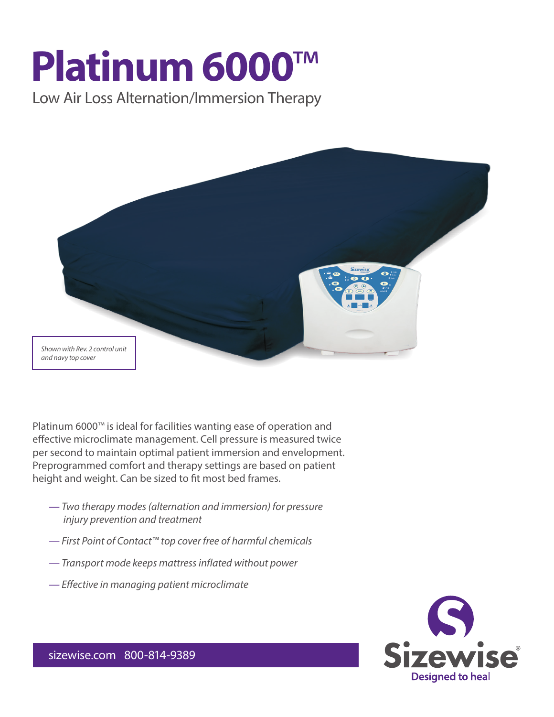# **Platinum 6000**™

Low Air Loss Alternation/Immersion Therapy



Platinum 6000™ is ideal for facilities wanting ease of operation and effective microclimate management. Cell pressure is measured twice per second to maintain optimal patient immersion and envelopment. Preprogrammed comfort and therapy settings are based on patient height and weight. Can be sized to fit most bed frames.

- *Two therapy modes (alternation and immersion) for pressure injury prevention and treatment*
- *First Point of Contact™ top cover free of harmful chemicals*
- *Transport mode keeps mattress inflated without power*
- *— Effective in managing patient microclimate*



sizewise.com 800-814-9389